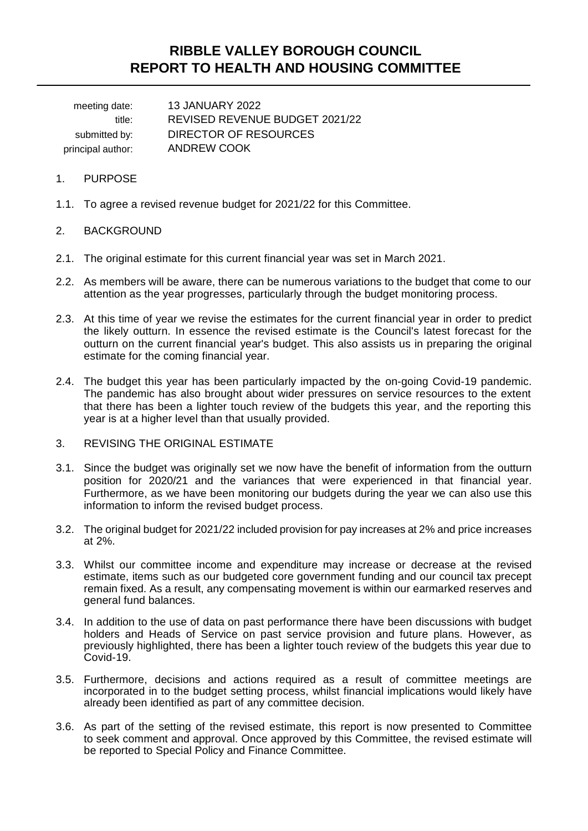# **RIBBLE VALLEY BOROUGH COUNCIL REPORT TO HEALTH AND HOUSING COMMITTEE**

meeting date: 13 JANUARY 2022 title: REVISED REVENUE BUDGET 2021/22 submitted by: DIRECTOR OF RESOURCES principal author: ANDREW COOK

## 1. PURPOSE

1.1. To agree a revised revenue budget for 2021/22 for this Committee.

### 2. BACKGROUND

- 2.1. The original estimate for this current financial year was set in March 2021.
- 2.2. As members will be aware, there can be numerous variations to the budget that come to our attention as the year progresses, particularly through the budget monitoring process.
- 2.3. At this time of year we revise the estimates for the current financial year in order to predict the likely outturn. In essence the revised estimate is the Council's latest forecast for the outturn on the current financial year's budget. This also assists us in preparing the original estimate for the coming financial year.
- 2.4. The budget this year has been particularly impacted by the on-going Covid-19 pandemic. The pandemic has also brought about wider pressures on service resources to the extent that there has been a lighter touch review of the budgets this year, and the reporting this year is at a higher level than that usually provided.
- 3. REVISING THE ORIGINAL ESTIMATE
- 3.1. Since the budget was originally set we now have the benefit of information from the outturn position for 2020/21 and the variances that were experienced in that financial year. Furthermore, as we have been monitoring our budgets during the year we can also use this information to inform the revised budget process.
- 3.2. The original budget for 2021/22 included provision for pay increases at 2% and price increases at 2%.
- 3.3. Whilst our committee income and expenditure may increase or decrease at the revised estimate, items such as our budgeted core government funding and our council tax precept remain fixed. As a result, any compensating movement is within our earmarked reserves and general fund balances.
- 3.4. In addition to the use of data on past performance there have been discussions with budget holders and Heads of Service on past service provision and future plans. However, as previously highlighted, there has been a lighter touch review of the budgets this year due to Covid-19.
- 3.5. Furthermore, decisions and actions required as a result of committee meetings are incorporated in to the budget setting process, whilst financial implications would likely have already been identified as part of any committee decision.
- 3.6. As part of the setting of the revised estimate, this report is now presented to Committee to seek comment and approval. Once approved by this Committee, the revised estimate will be reported to Special Policy and Finance Committee.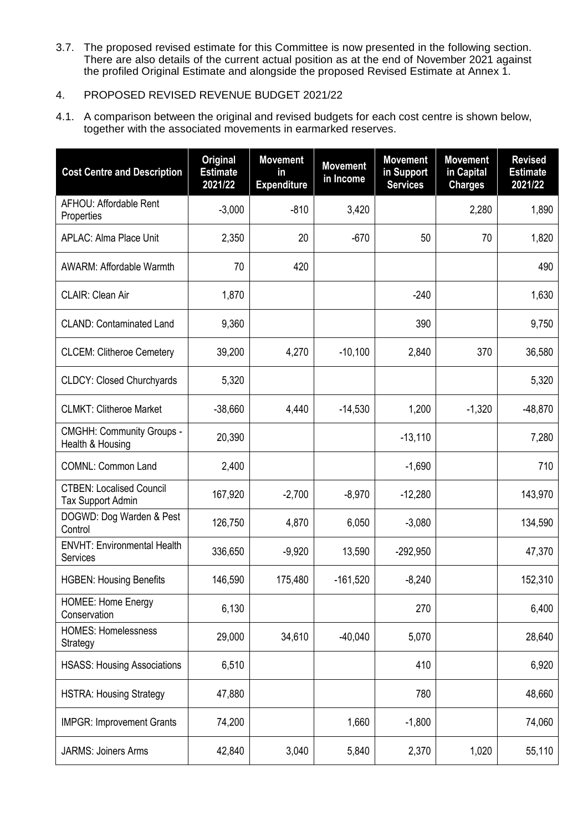3.7. The proposed revised estimate for this Committee is now presented in the following section. There are also details of the current actual position as at the end of November 2021 against the profiled Original Estimate and alongside the proposed Revised Estimate at Annex 1.

# 4. PROPOSED REVISED REVENUE BUDGET 2021/22

4.1. A comparison between the original and revised budgets for each cost centre is shown below, together with the associated movements in earmarked reserves.

| <b>Cost Centre and Description</b>                          | <b>Original</b><br><b>Estimate</b><br>2021/22 | <b>Movement</b><br>in<br><b>Expenditure</b> | <b>Movement</b><br>in Income | <b>Movement</b><br>in Support<br><b>Services</b> | <b>Movement</b><br>in Capital<br><b>Charges</b> | <b>Revised</b><br><b>Estimate</b><br>2021/22 |
|-------------------------------------------------------------|-----------------------------------------------|---------------------------------------------|------------------------------|--------------------------------------------------|-------------------------------------------------|----------------------------------------------|
| AFHOU: Affordable Rent<br>Properties                        | $-3,000$                                      | $-810$                                      | 3,420                        |                                                  | 2,280                                           | 1,890                                        |
| <b>APLAC: Alma Place Unit</b>                               | 2,350                                         | 20                                          | $-670$                       | 50                                               | 70                                              | 1,820                                        |
| <b>AWARM: Affordable Warmth</b>                             | 70                                            | 420                                         |                              |                                                  |                                                 | 490                                          |
| CLAIR: Clean Air                                            | 1,870                                         |                                             |                              | $-240$                                           |                                                 | 1,630                                        |
| <b>CLAND: Contaminated Land</b>                             | 9,360                                         |                                             |                              | 390                                              |                                                 | 9,750                                        |
| <b>CLCEM: Clitheroe Cemetery</b>                            | 39,200                                        | 4,270                                       | $-10,100$                    | 2,840                                            | 370                                             | 36,580                                       |
| <b>CLDCY: Closed Churchyards</b>                            | 5,320                                         |                                             |                              |                                                  |                                                 | 5,320                                        |
| <b>CLMKT: Clitheroe Market</b>                              | $-38,660$                                     | 4,440                                       | $-14,530$                    | 1,200                                            | $-1,320$                                        | $-48,870$                                    |
| <b>CMGHH: Community Groups -</b><br>Health & Housing        | 20,390                                        |                                             |                              | $-13,110$                                        |                                                 | 7,280                                        |
| <b>COMNL: Common Land</b>                                   | 2,400                                         |                                             |                              | $-1,690$                                         |                                                 | 710                                          |
| <b>CTBEN: Localised Council</b><br><b>Tax Support Admin</b> | 167,920                                       | $-2,700$                                    | $-8,970$                     | $-12,280$                                        |                                                 | 143,970                                      |
| DOGWD: Dog Warden & Pest<br>Control                         | 126,750                                       | 4,870                                       | 6,050                        | $-3,080$                                         |                                                 | 134,590                                      |
| <b>ENVHT: Environmental Health</b><br>Services              | 336,650                                       | $-9,920$                                    | 13,590                       | $-292,950$                                       |                                                 | 47,370                                       |
| <b>HGBEN: Housing Benefits</b>                              | 146,590                                       | 175,480                                     | $-161,520$                   | $-8,240$                                         |                                                 | 152,310                                      |
| <b>HOMEE: Home Energy</b><br>Conservation                   | 6,130                                         |                                             |                              | 270                                              |                                                 | 6,400                                        |
| <b>HOMES: Homelessness</b><br>Strategy                      | 29,000                                        | 34,610                                      | $-40,040$                    | 5,070                                            |                                                 | 28,640                                       |
| <b>HSASS: Housing Associations</b>                          | 6,510                                         |                                             |                              | 410                                              |                                                 | 6,920                                        |
| <b>HSTRA: Housing Strategy</b>                              | 47,880                                        |                                             |                              | 780                                              |                                                 | 48,660                                       |
| <b>IMPGR: Improvement Grants</b>                            | 74,200                                        |                                             | 1,660                        | $-1,800$                                         |                                                 | 74,060                                       |
| <b>JARMS: Joiners Arms</b>                                  | 42,840                                        | 3,040                                       | 5,840                        | 2,370                                            | 1,020                                           | 55,110                                       |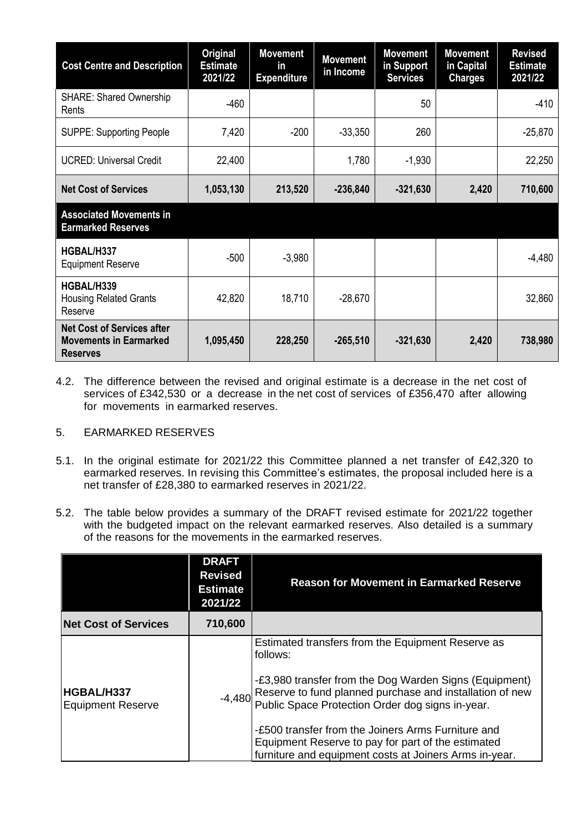| <b>Cost Centre and Description</b>                                                    | <b>Original</b><br><b>Estimate</b><br>2021/22 | <b>Movement</b><br>in.<br><b>Expenditure</b> | <b>Movement</b><br>in Income | <b>Movement</b><br>in Support<br><b>Services</b> | <b>Movement</b><br>in Capital<br><b>Charges</b> | <b>Revised</b><br><b>Estimate</b><br>2021/22 |
|---------------------------------------------------------------------------------------|-----------------------------------------------|----------------------------------------------|------------------------------|--------------------------------------------------|-------------------------------------------------|----------------------------------------------|
| <b>SHARE: Shared Ownership</b><br>Rents                                               | $-460$                                        |                                              |                              | 50                                               |                                                 | $-410$                                       |
| <b>SUPPE: Supporting People</b>                                                       | 7,420                                         | $-200$                                       | $-33,350$                    | 260                                              |                                                 | $-25,870$                                    |
| <b>UCRED: Universal Credit</b>                                                        | 22,400                                        |                                              | 1,780                        | $-1,930$                                         |                                                 | 22,250                                       |
| <b>Net Cost of Services</b>                                                           | 1,053,130                                     | 213,520                                      | $-236,840$                   | $-321,630$                                       | 2,420                                           | 710,600                                      |
| <b>Associated Movements in</b><br><b>Earmarked Reserves</b>                           |                                               |                                              |                              |                                                  |                                                 |                                              |
| HGBAL/H337<br><b>Equipment Reserve</b>                                                | $-500$                                        | $-3,980$                                     |                              |                                                  |                                                 | $-4,480$                                     |
| HGBAL/H339<br><b>Housing Related Grants</b><br>Reserve                                | 42,820                                        | 18,710                                       | $-28,670$                    |                                                  |                                                 | 32,860                                       |
| <b>Net Cost of Services after</b><br><b>Movements in Earmarked</b><br><b>Reserves</b> | 1,095,450                                     | 228,250                                      | $-265,510$                   | $-321,630$                                       | 2,420                                           | 738,980                                      |

4.2. The difference between the revised and original estimate is a decrease in the net cost of services of £342,530 or a decrease in the net cost of services of £356,470 after allowing for movements in earmarked reserves.

# 5. EARMARKED RESERVES

- 5.1. In the original estimate for 2021/22 this Committee planned a net transfer of £42,320 to earmarked reserves. In revising this Committee's estimates, the proposal included here is a net transfer of £28,380 to earmarked reserves in 2021/22.
- 5.2. The table below provides a summary of the DRAFT revised estimate for 2021/22 together with the budgeted impact on the relevant earmarked reserves. Also detailed is a summary of the reasons for the movements in the earmarked reserves.

|                                        | <b>DRAFT</b><br><b>Revised</b><br><b>Estimate</b><br>2021/22 | <b>Reason for Movement in Earmarked Reserve</b>                                                                                                                                                                                                                                                                                                                                                               |
|----------------------------------------|--------------------------------------------------------------|---------------------------------------------------------------------------------------------------------------------------------------------------------------------------------------------------------------------------------------------------------------------------------------------------------------------------------------------------------------------------------------------------------------|
| <b>Net Cost of Services</b>            | 710,600                                                      |                                                                                                                                                                                                                                                                                                                                                                                                               |
| HGBAL/H337<br><b>Equipment Reserve</b> | $-4,480$                                                     | Estimated transfers from the Equipment Reserve as<br>follows:<br>-£3,980 transfer from the Dog Warden Signs (Equipment)<br>Reserve to fund planned purchase and installation of new<br>Public Space Protection Order dog signs in-year.<br>-£500 transfer from the Joiners Arms Furniture and<br>Equipment Reserve to pay for part of the estimated<br>furniture and equipment costs at Joiners Arms in-year. |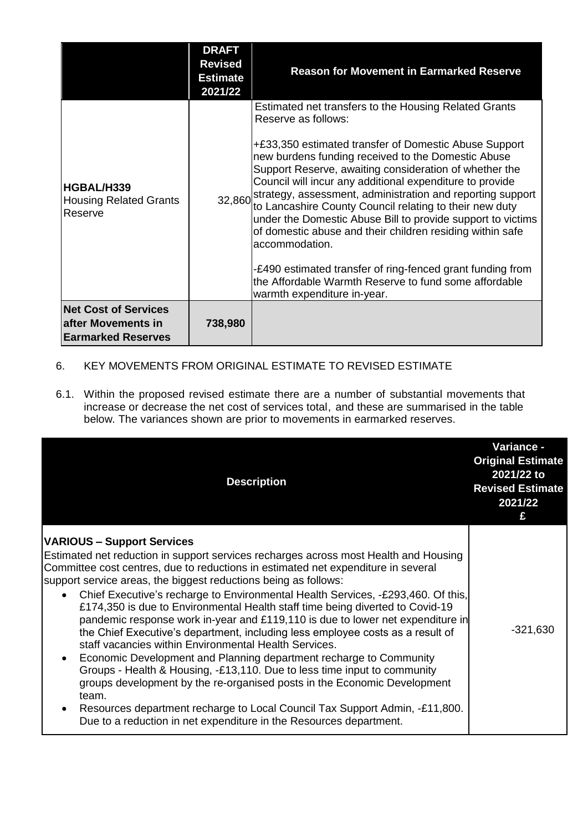|                                                                                | <b>DRAFT</b><br><b>Revised</b><br><b>Estimate</b><br>2021/22 | <b>Reason for Movement in Earmarked Reserve</b>                                                                                                                                                                                                                                                                                                                                                                                                                                                                                                                                                                                                                                                                                                       |
|--------------------------------------------------------------------------------|--------------------------------------------------------------|-------------------------------------------------------------------------------------------------------------------------------------------------------------------------------------------------------------------------------------------------------------------------------------------------------------------------------------------------------------------------------------------------------------------------------------------------------------------------------------------------------------------------------------------------------------------------------------------------------------------------------------------------------------------------------------------------------------------------------------------------------|
| HGBAL/H339<br><b>Housing Related Grants</b><br>Reserve                         |                                                              | Estimated net transfers to the Housing Related Grants<br>Reserve as follows:<br>+£33,350 estimated transfer of Domestic Abuse Support<br>new burdens funding received to the Domestic Abuse<br>Support Reserve, awaiting consideration of whether the<br>Council will incur any additional expenditure to provide<br>32,860 strategy, assessment, administration and reporting support<br>to Lancashire County Council relating to their new duty<br>under the Domestic Abuse Bill to provide support to victims<br>of domestic abuse and their children residing within safe<br>accommodation.<br>-£490 estimated transfer of ring-fenced grant funding from<br>the Affordable Warmth Reserve to fund some affordable<br>warmth expenditure in-year. |
| <b>Net Cost of Services</b><br>after Movements in<br><b>Earmarked Reserves</b> | 738,980                                                      |                                                                                                                                                                                                                                                                                                                                                                                                                                                                                                                                                                                                                                                                                                                                                       |

- 6. KEY MOVEMENTS FROM ORIGINAL ESTIMATE TO REVISED ESTIMATE
- 6.1. Within the proposed revised estimate there are a number of substantial movements that increase or decrease the net cost of services total, and these are summarised in the table below. The variances shown are prior to movements in earmarked reserves.

| <b>Description</b>                                                                                                                                                                                                                                                                                                                                                                                                                                                                                                                                                                                                                                                                                                                                                                                                                                                                                                                                                                                                                                                              | <b>Variance -</b><br><b>Original Estimate</b><br>2021/22 to<br><b>Revised Estimate</b><br>2021/22<br>£ |
|---------------------------------------------------------------------------------------------------------------------------------------------------------------------------------------------------------------------------------------------------------------------------------------------------------------------------------------------------------------------------------------------------------------------------------------------------------------------------------------------------------------------------------------------------------------------------------------------------------------------------------------------------------------------------------------------------------------------------------------------------------------------------------------------------------------------------------------------------------------------------------------------------------------------------------------------------------------------------------------------------------------------------------------------------------------------------------|--------------------------------------------------------------------------------------------------------|
| <b>VARIOUS - Support Services</b><br>Estimated net reduction in support services recharges across most Health and Housing<br>Committee cost centres, due to reductions in estimated net expenditure in several<br>support service areas, the biggest reductions being as follows:<br>Chief Executive's recharge to Environmental Health Services, -£293,460. Of this,<br>£174,350 is due to Environmental Health staff time being diverted to Covid-19<br>pandemic response work in-year and £119,110 is due to lower net expenditure in<br>the Chief Executive's department, including less employee costs as a result of<br>staff vacancies within Environmental Health Services.<br>Economic Development and Planning department recharge to Community<br>Groups - Health & Housing, -£13,110. Due to less time input to community<br>groups development by the re-organised posts in the Economic Development<br>team.<br>Resources department recharge to Local Council Tax Support Admin, -£11,800.<br>Due to a reduction in net expenditure in the Resources department. | $-321,630$                                                                                             |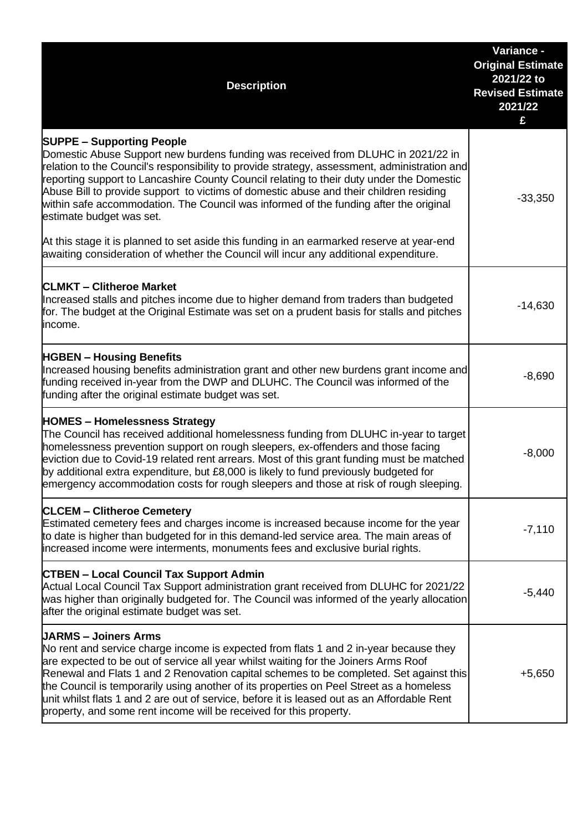| <b>Description</b>                                                                                                                                                                                                                                                                                                                                                                                                                                                                                                                                                    | Variance -<br><b>Original Estimate</b><br>2021/22 to<br><b>Revised Estimate</b><br>2021/22<br>£ |
|-----------------------------------------------------------------------------------------------------------------------------------------------------------------------------------------------------------------------------------------------------------------------------------------------------------------------------------------------------------------------------------------------------------------------------------------------------------------------------------------------------------------------------------------------------------------------|-------------------------------------------------------------------------------------------------|
| <b>SUPPE - Supporting People</b><br>Domestic Abuse Support new burdens funding was received from DLUHC in 2021/22 in<br>relation to the Council's responsibility to provide strategy, assessment, administration and<br>reporting support to Lancashire County Council relating to their duty under the Domestic<br>Abuse Bill to provide support to victims of domestic abuse and their children residing<br>within safe accommodation. The Council was informed of the funding after the original<br>estimate budget was set.                                       | $-33,350$                                                                                       |
| At this stage it is planned to set aside this funding in an earmarked reserve at year-end<br>awaiting consideration of whether the Council will incur any additional expenditure.                                                                                                                                                                                                                                                                                                                                                                                     |                                                                                                 |
| <b>CLMKT - Clitheroe Market</b><br>Increased stalls and pitches income due to higher demand from traders than budgeted<br>for. The budget at the Original Estimate was set on a prudent basis for stalls and pitches<br>income.                                                                                                                                                                                                                                                                                                                                       | $-14,630$                                                                                       |
| <b>HGBEN - Housing Benefits</b><br>Increased housing benefits administration grant and other new burdens grant income and<br>funding received in-year from the DWP and DLUHC. The Council was informed of the<br>funding after the original estimate budget was set.                                                                                                                                                                                                                                                                                                  | $-8,690$                                                                                        |
| <b>HOMES - Homelessness Strategy</b><br>The Council has received additional homelessness funding from DLUHC in-year to target<br>homelessness prevention support on rough sleepers, ex-offenders and those facing<br>eviction due to Covid-19 related rent arrears. Most of this grant funding must be matched<br>by additional extra expenditure, but £8,000 is likely to fund previously budgeted for<br>emergency accommodation costs for rough sleepers and those at risk of rough sleeping.                                                                      | $-8,000$                                                                                        |
| <b>CLCEM - Clitheroe Cemetery</b><br>Estimated cemetery fees and charges income is increased because income for the year<br>to date is higher than budgeted for in this demand-led service area. The main areas of<br>increased income were interments, monuments fees and exclusive burial rights.                                                                                                                                                                                                                                                                   | $-7,110$                                                                                        |
| <b>CTBEN - Local Council Tax Support Admin</b><br>Actual Local Council Tax Support administration grant received from DLUHC for 2021/22<br>was higher than originally budgeted for. The Council was informed of the yearly allocation<br>after the original estimate budget was set.                                                                                                                                                                                                                                                                                  | $-5,440$                                                                                        |
| <b>UARMS - Joiners Arms</b><br>No rent and service charge income is expected from flats 1 and 2 in-year because they<br>are expected to be out of service all year whilst waiting for the Joiners Arms Roof<br>Renewal and Flats 1 and 2 Renovation capital schemes to be completed. Set against this<br>the Council is temporarily using another of its properties on Peel Street as a homeless<br>unit whilst flats 1 and 2 are out of service, before it is leased out as an Affordable Rent<br>property, and some rent income will be received for this property. | $+5,650$                                                                                        |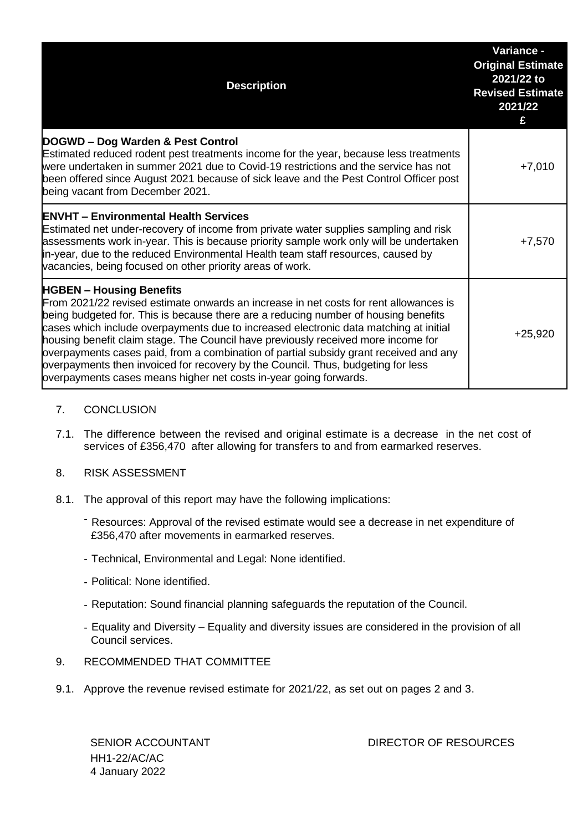| <b>Description</b>                                                                                                                                                                                                                                                                                                                                                                                                                                                                                                                                                                                                                              | Variance -<br><b>Original Estimate</b><br>2021/22 to<br><b>Revised Estimate</b><br>2021/22<br>£ |
|-------------------------------------------------------------------------------------------------------------------------------------------------------------------------------------------------------------------------------------------------------------------------------------------------------------------------------------------------------------------------------------------------------------------------------------------------------------------------------------------------------------------------------------------------------------------------------------------------------------------------------------------------|-------------------------------------------------------------------------------------------------|
| DOGWD - Dog Warden & Pest Control<br>Estimated reduced rodent pest treatments income for the year, because less treatments<br>were undertaken in summer 2021 due to Covid-19 restrictions and the service has not<br>been offered since August 2021 because of sick leave and the Pest Control Officer post<br>being vacant from December 2021.                                                                                                                                                                                                                                                                                                 | $+7,010$                                                                                        |
| <b>ENVHT - Environmental Health Services</b><br>Estimated net under-recovery of income from private water supplies sampling and risk<br>assessments work in-year. This is because priority sample work only will be undertaken<br>in-year, due to the reduced Environmental Health team staff resources, caused by<br>vacancies, being focused on other priority areas of work.                                                                                                                                                                                                                                                                 | $+7,570$                                                                                        |
| <b>HGBEN - Housing Benefits</b><br>From 2021/22 revised estimate onwards an increase in net costs for rent allowances is<br>being budgeted for. This is because there are a reducing number of housing benefits<br>cases which include overpayments due to increased electronic data matching at initial<br>housing benefit claim stage. The Council have previously received more income for<br>overpayments cases paid, from a combination of partial subsidy grant received and any<br>overpayments then invoiced for recovery by the Council. Thus, budgeting for less<br>overpayments cases means higher net costs in-year going forwards. | $+25,920$                                                                                       |

- 7. CONCLUSION
- 7.1. The difference between the revised and original estimate is a decrease in the net cost of services of £356,470 after allowing for transfers to and from earmarked reserves.
- 8. RISK ASSESSMENT
- 8.1. The approval of this report may have the following implications:
	- Resources: Approval of the revised estimate would see a decrease in net expenditure of £356,470 after movements in earmarked reserves.
	- Technical, Environmental and Legal: None identified.
	- Political: None identified.
	- Reputation: Sound financial planning safeguards the reputation of the Council.
	- Equality and Diversity Equality and diversity issues are considered in the provision of all Council services.
- 9. RECOMMENDED THAT COMMITTEE
- 9.1. Approve the revenue revised estimate for 2021/22, as set out on pages 2 and 3.

HH1-22/AC/AC 4 January 2022

SENIOR ACCOUNTANT **Example 20 SENIOR ACCOUNTANT** DIRECTOR OF RESOURCES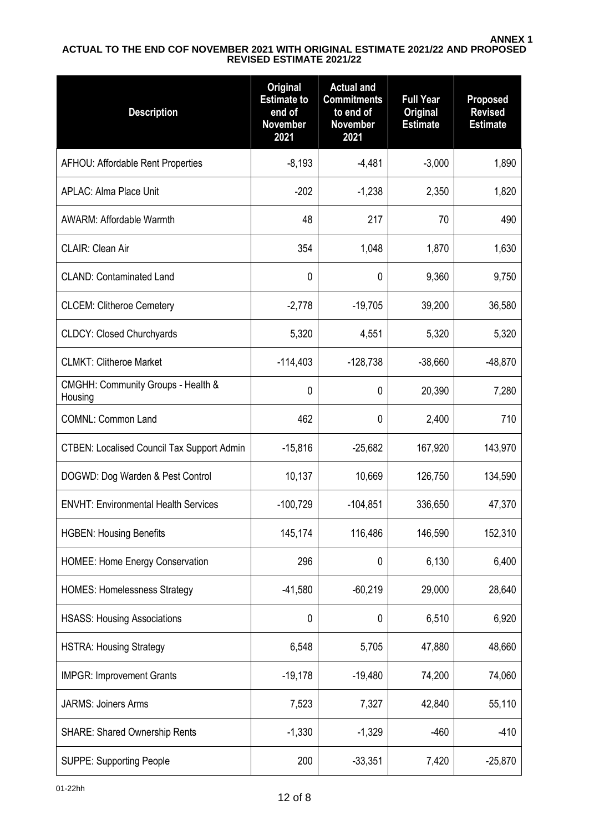### **ANNEX 1 ACTUAL TO THE END COF NOVEMBER 2021 WITH ORIGINAL ESTIMATE 2021/22 AND PROPOSED REVISED ESTIMATE 2021/22**

| <b>Description</b>                                | <b>Original</b><br><b>Estimate to</b><br>end of<br><b>November</b><br>2021 | <b>Actual and</b><br><b>Commitments</b><br>to end of<br><b>November</b><br>2021 | <b>Full Year</b><br><b>Original</b><br><b>Estimate</b> | <b>Proposed</b><br><b>Revised</b><br><b>Estimate</b> |
|---------------------------------------------------|----------------------------------------------------------------------------|---------------------------------------------------------------------------------|--------------------------------------------------------|------------------------------------------------------|
| <b>AFHOU: Affordable Rent Properties</b>          | $-8,193$                                                                   | $-4,481$                                                                        | $-3,000$                                               | 1,890                                                |
| <b>APLAC: Alma Place Unit</b>                     | $-202$                                                                     | $-1,238$                                                                        | 2,350                                                  | 1,820                                                |
| <b>AWARM: Affordable Warmth</b>                   | 48                                                                         | 217                                                                             | 70                                                     | 490                                                  |
| <b>CLAIR: Clean Air</b>                           | 354                                                                        | 1,048                                                                           | 1,870                                                  | 1,630                                                |
| <b>CLAND: Contaminated Land</b>                   | 0                                                                          | 0                                                                               | 9,360                                                  | 9,750                                                |
| <b>CLCEM: Clitheroe Cemetery</b>                  | $-2,778$                                                                   | $-19,705$                                                                       | 39,200                                                 | 36,580                                               |
| <b>CLDCY: Closed Churchyards</b>                  | 5,320                                                                      | 4,551                                                                           | 5,320                                                  | 5,320                                                |
| <b>CLMKT: Clitheroe Market</b>                    | $-114,403$                                                                 | $-128,738$                                                                      | $-38,660$                                              | $-48,870$                                            |
| CMGHH: Community Groups - Health &<br>Housing     | 0                                                                          | 0                                                                               | 20,390                                                 | 7,280                                                |
| <b>COMNL: Common Land</b>                         | 462                                                                        | 0                                                                               | 2,400                                                  | 710                                                  |
| <b>CTBEN: Localised Council Tax Support Admin</b> | $-15,816$                                                                  | $-25,682$                                                                       | 167,920                                                | 143,970                                              |
| DOGWD: Dog Warden & Pest Control                  | 10,137                                                                     | 10,669                                                                          | 126,750                                                | 134,590                                              |
| <b>ENVHT: Environmental Health Services</b>       | $-100,729$                                                                 | $-104.851$                                                                      | 336,650                                                | 47,370                                               |
| <b>HGBEN: Housing Benefits</b>                    | 145,174                                                                    | 116,486                                                                         | 146,590                                                | 152,310                                              |
| <b>HOMEE: Home Energy Conservation</b>            | 296                                                                        | 0                                                                               | 6,130                                                  | 6,400                                                |
| <b>HOMES: Homelessness Strategy</b>               | $-41,580$                                                                  | $-60,219$                                                                       | 29,000                                                 | 28,640                                               |
| <b>HSASS: Housing Associations</b>                | 0                                                                          | 0                                                                               | 6,510                                                  | 6,920                                                |
| <b>HSTRA: Housing Strategy</b>                    | 6,548                                                                      | 5,705                                                                           | 47,880                                                 | 48,660                                               |
| <b>IMPGR: Improvement Grants</b>                  | $-19,178$                                                                  | $-19,480$                                                                       | 74,200                                                 | 74,060                                               |
| <b>JARMS: Joiners Arms</b>                        | 7,523                                                                      | 7,327                                                                           | 42,840                                                 | 55,110                                               |
| <b>SHARE: Shared Ownership Rents</b>              | $-1,330$                                                                   | $-1,329$                                                                        | $-460$                                                 | $-410$                                               |
| <b>SUPPE: Supporting People</b>                   | 200                                                                        | $-33,351$                                                                       | 7,420                                                  | $-25,870$                                            |